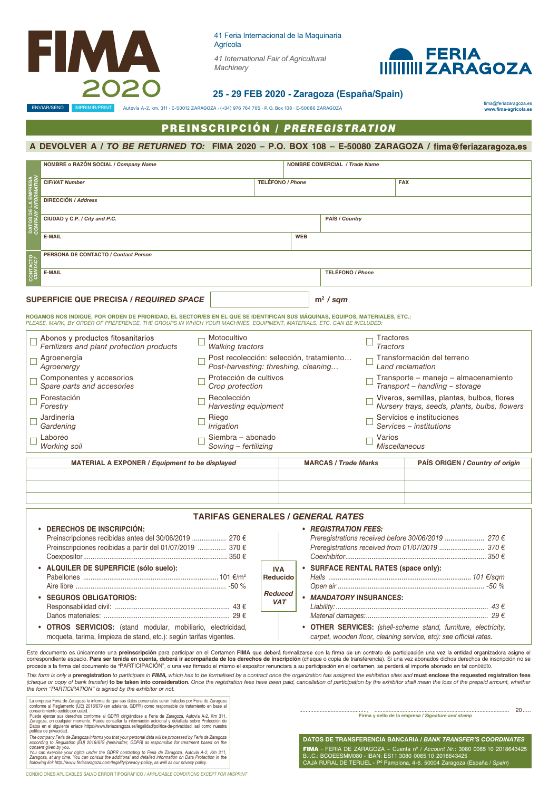

41 Feria Internacional de la Maquinaria ZARAGOZA *41 International Fair of Agricultural*  Agrícola



**25 - 29 FEB 2020 - Zaragoza (España/Spain)**

ENVIAR/SEND IMPRIMIR/PRINT Autovía A-2, km. 311 · E-50012 ZARAGOZA · (+34) 976 764 705 · P. O. Box 108 · E-50080 ZARAGOZA

*Machinery*

fima@feriazaragoza.es **www.fima-agricola.es**

# **PREINSCRIPCIÓN / PREREGISTRATION**

## **A DEVOLVER A /** *TO BE RETURNED TO:* **FIMA 2020 – P.O. BOX 108 – E-50080 ZARAGOZA /**

|                 | NOMBRE o RAZÓN SOCIAL / Company Name                                                                                        |                                                                                  |  |                                       | <b>NOMBRE COMERCIAL / Trade Name</b> |                  |                                                                                            |
|-----------------|-----------------------------------------------------------------------------------------------------------------------------|----------------------------------------------------------------------------------|--|---------------------------------------|--------------------------------------|------------------|--------------------------------------------------------------------------------------------|
|                 | <b>CIF/VAT Number</b>                                                                                                       |                                                                                  |  | <b>TELÉFONO / Phone</b><br><b>FAX</b> |                                      |                  |                                                                                            |
| 쁌               | <b>DIRECCIÓN / Address</b>                                                                                                  |                                                                                  |  |                                       |                                      |                  |                                                                                            |
| <b>E</b>        | CIUDAD y C.P. / City and P.C.                                                                                               |                                                                                  |  | PAÍS / Country                        |                                      |                  |                                                                                            |
|                 | <b>E-MAIL</b>                                                                                                               |                                                                                  |  | <b>WEB</b>                            |                                      |                  |                                                                                            |
| <b>CONTACTO</b> | PERSONA DE CONTACTO / Contact Person                                                                                        |                                                                                  |  |                                       |                                      |                  |                                                                                            |
|                 | <b>E-MAIL</b>                                                                                                               |                                                                                  |  |                                       | <b>TELÉFONO / Phone</b>              |                  |                                                                                            |
|                 | <b>SUPERFICIE QUE PRECISA / REQUIRED SPACE</b><br>$m2$ / sqm                                                                |                                                                                  |  |                                       |                                      |                  |                                                                                            |
|                 |                                                                                                                             |                                                                                  |  |                                       |                                      |                  |                                                                                            |
|                 | ROGAMOS NOS INDIQUE, POR ORDEN DE PRIORIDAD, EL SECTOR/ES EN EL QUE SE IDENTIFICAN SUS MÀQUINAS, EQUIPOS, MATERIALES, ETC.: |                                                                                  |  |                                       |                                      |                  |                                                                                            |
|                 | PLEASE, MARK, BY ORDER OF PREFERENCE, THE GROUPS IN WHICH YOUR MACHINES, EQUIPMENT, MATERIALS, ETC. CAN BE INCLUDED:        |                                                                                  |  |                                       |                                      |                  |                                                                                            |
|                 | Abonos y productos fitosanitarios                                                                                           | Motocultivo                                                                      |  |                                       |                                      | <b>Tractores</b> |                                                                                            |
|                 | Fertilizers and plant protection products                                                                                   | <b>Walking tractors</b>                                                          |  |                                       |                                      | <b>Tractors</b>  |                                                                                            |
|                 | Agroenergía<br>Agroenergy                                                                                                   | Post recolección: selección, tratamiento<br>Post-harvesting: threshing, cleaning |  |                                       |                                      |                  | Transformación del terreno<br>Land reclamation                                             |
|                 | Componentes y accesorios<br>Spare parts and accesories                                                                      | Protección de cultivos<br>Crop protection                                        |  |                                       |                                      |                  | Transporte - manejo - almacenamiento<br>Transport - handling - storage                     |
|                 | Forestación<br>Forestry                                                                                                     | Recolección<br>Harvesting equipment                                              |  |                                       |                                      |                  | Viveros, semillas, plantas, bulbos, flores<br>Nursery trays, seeds, plants, bulbs, flowers |
|                 | Jardinería<br>Gardening                                                                                                     | Riego<br>Irrigation                                                              |  |                                       |                                      |                  | Servicios e instituciones<br>Services - institutions                                       |
|                 | Laboreo                                                                                                                     | Siembra - abonado                                                                |  |                                       |                                      | Varios           |                                                                                            |
|                 | <b>Working soil</b>                                                                                                         | Sowing - fertilizing                                                             |  |                                       |                                      |                  | <b>Miscellaneous</b>                                                                       |
|                 | MATERIAL A EXPONER / Equipment to be displayed                                                                              |                                                                                  |  |                                       | <b>MARCAS / Trade Marks</b>          |                  | PAÍS ORIGEN / Country of origin                                                            |
|                 |                                                                                                                             |                                                                                  |  |                                       |                                      |                  |                                                                                            |
|                 |                                                                                                                             |                                                                                  |  |                                       |                                      |                  |                                                                                            |
|                 |                                                                                                                             |                                                                                  |  |                                       |                                      |                  |                                                                                            |

### **TARIFAS GENERALES /** *GENERAL RATES*

**IVA Reducid** 

*Reduced VAT*

| • DERECHOS DE INSCRIPCIÓN:<br>Preinscripciones recibidas antes del 30/06/2019  270 €<br>Preinscripciones recibidas a partir del 01/07/2019  370 € |  |
|---------------------------------------------------------------------------------------------------------------------------------------------------|--|
| • ALQUILER DE SUPERFICIE (sólo suelo):                                                                                                            |  |
| • SEGUROS OBLIGATORIOS:                                                                                                                           |  |
| • OTROS SERVICIOS: (stand modular, mobiliario, electricidad,<br>moqueta, tarima, limpieza de stand, etc.): según tarifas vigentes.                |  |

#### **•** *REGISTRATION FEES:*

|    | Preregistrations received before 30/06/2019  270 €<br>Preregistrations received from 01/07/2019  370 €                              |
|----|-------------------------------------------------------------------------------------------------------------------------------------|
|    | • SURFACE RENTAL RATES (space only):                                                                                                |
| lo |                                                                                                                                     |
|    |                                                                                                                                     |
| d  | • MANDATORY INSURANCES:                                                                                                             |
|    |                                                                                                                                     |
|    |                                                                                                                                     |
|    | • OTHER SERVICES: (shell-scheme stand, furniture, electricity,<br>carpet, wooden floor, cleaning service, etc): see official rates. |

Este documento es únicamente una **preinscripción** para participar en el Certamen FIMA que deberá formalizarse con la firma de un contrato de participación una vez la entidad organizadora asigne el correspondiente espacio. **Para ser tenida en cuenta, deberá ir acompañada de los derechos de inscripción** (cheque o copia de transferencia). Si una vez abonados dichos derechos de inscripción no se<br>procede a la firma del d

This form is only a preregistration to participate in FIMA, which has to be formalised by a contract once the organization has assigned the exhibition sites and must enclose the requested registration fees (cheque or copy of bank transfer) **to be taken into consideration.** Once the registration fees have been paid, cancellation of participation by the exhibitor shall mean the loss of the prepaid amount, whether<br>the form "PAR

La empresa Feria de Zaragoza le informa de que sus datos personales serán tratados por Feria de Zaragoza<br>conforme al Reglamento (UE) 2016/679 (en adelante, GDPR) como responsable de tratamento eceido por usted.<br>Consentimie The company Feria de Zaragoza informs you that your personal data will be processed by Feria de Zaragoza<br>cocording to Regulation (EU) 2016/679 (hereinafter, GDPR) as responsible for treatment based on the<br>You can exercise

CONDICIONES APLICABLES SALVO ERROR TIPOGRÁFICO */ APPLICABLE CONDITIONS EXCEPT FOR MISPRINT*

..........................................., ...................................................................................... **Firma y sello de la empresa /** *Signature and stamp*

20.....

**DATOS DE TRANSFERENCIA BANCARIA /** *BANK TRANSFER'S COORDINATES* FIMA - FERIA DE ZARAGOZA – Cuenta nº / *Account Nr.*: 3080 0065 10 2018643425<br>B.I.C.: BCOEESMM080 - IBAN: ES11 3080 0065 10 2018643425<br>CAJA RURAL DE TERUEL - Pº Pamplona, 4-6. 50004 Zaragoza (España / S*pain*)